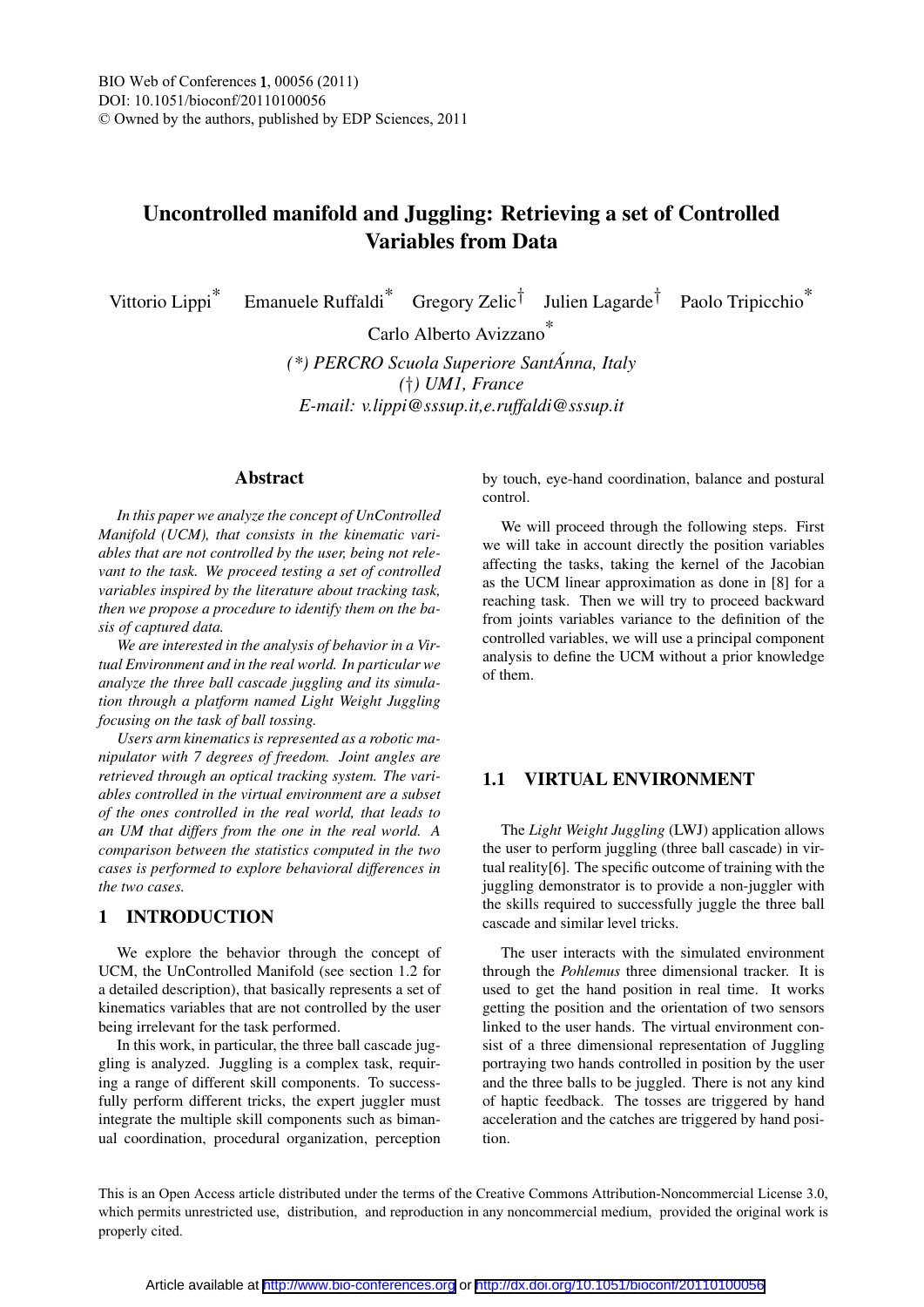# Uncontrolled manifold and Juggling: Retrieving a set of Controlled Variables from Data

Vittorio Lippi\* Emanuele Ruffaldi\* Gregory Zelic† Julien Lagarde† Paolo Tripicchio\*

Carlo Alberto Avizzano\*

*(\*) PERCRO Scuola Superiore SantAnna, Italy ´ (*†*) UM1, France E-mail: v.lippi@sssup.it,e.ruffaldi@sssup.it*

#### Abstract

*In this paper we analyze the concept of UnControlled Manifold (UCM), that consists in the kinematic variables that are not controlled by the user, being not relevant to the task. We proceed testing a set of controlled variables inspired by the literature about tracking task, then we propose a procedure to identify them on the basis of captured data.*

*We are interested in the analysis of behavior in a Virtual Environment and in the real world. In particular we analyze the three ball cascade juggling and its simulation through a platform named Light Weight Juggling focusing on the task of ball tossing.*

*Users arm kinematics is represented as a robotic manipulator with 7 degrees of freedom. Joint angles are retrieved through an optical tracking system. The variables controlled in the virtual environment are a subset of the ones controlled in the real world, that leads to an UM that differs from the one in the real world. A comparison between the statistics computed in the two cases is performed to explore behavioral differences in the two cases.*

### 1 INTRODUCTION

We explore the behavior through the concept of UCM, the UnControlled Manifold (see section 1.2 for a detailed description), that basically represents a set of kinematics variables that are not controlled by the user being irrelevant for the task performed.

In this work, in particular, the three ball cascade juggling is analyzed. Juggling is a complex task, requiring a range of different skill components. To successfully perform different tricks, the expert juggler must integrate the multiple skill components such as bimanual coordination, procedural organization, perception by touch, eye-hand coordination, balance and postural control.

We will proceed through the following steps. First we will take in account directly the position variables affecting the tasks, taking the kernel of the Jacobian as the UCM linear approximation as done in [8] for a reaching task. Then we will try to proceed backward from joints variables variance to the definition of the controlled variables, we will use a principal component analysis to define the UCM without a prior knowledge of them.

### 1.1 VIRTUAL ENVIRONMENT

The *Light Weight Juggling* (LWJ) application allows the user to perform juggling (three ball cascade) in virtual reality[6]. The specific outcome of training with the juggling demonstrator is to provide a non-juggler with the skills required to successfully juggle the three ball cascade and similar level tricks.

The user interacts with the simulated environment through the *Pohlemus* three dimensional tracker. It is used to get the hand position in real time. It works getting the position and the orientation of two sensors linked to the user hands. The virtual environment consist of a three dimensional representation of Juggling portraying two hands controlled in position by the user and the three balls to be juggled. There is not any kind of haptic feedback. The tosses are triggered by hand acceleration and the catches are triggered by hand position.

This is an Open Access article distributed under the terms of the Creative Commons Attribution-Noncommercial License 3.0, which permits unrestricted use, distribution, and reproduction in any noncommercial medium, provided the original work is properly cited.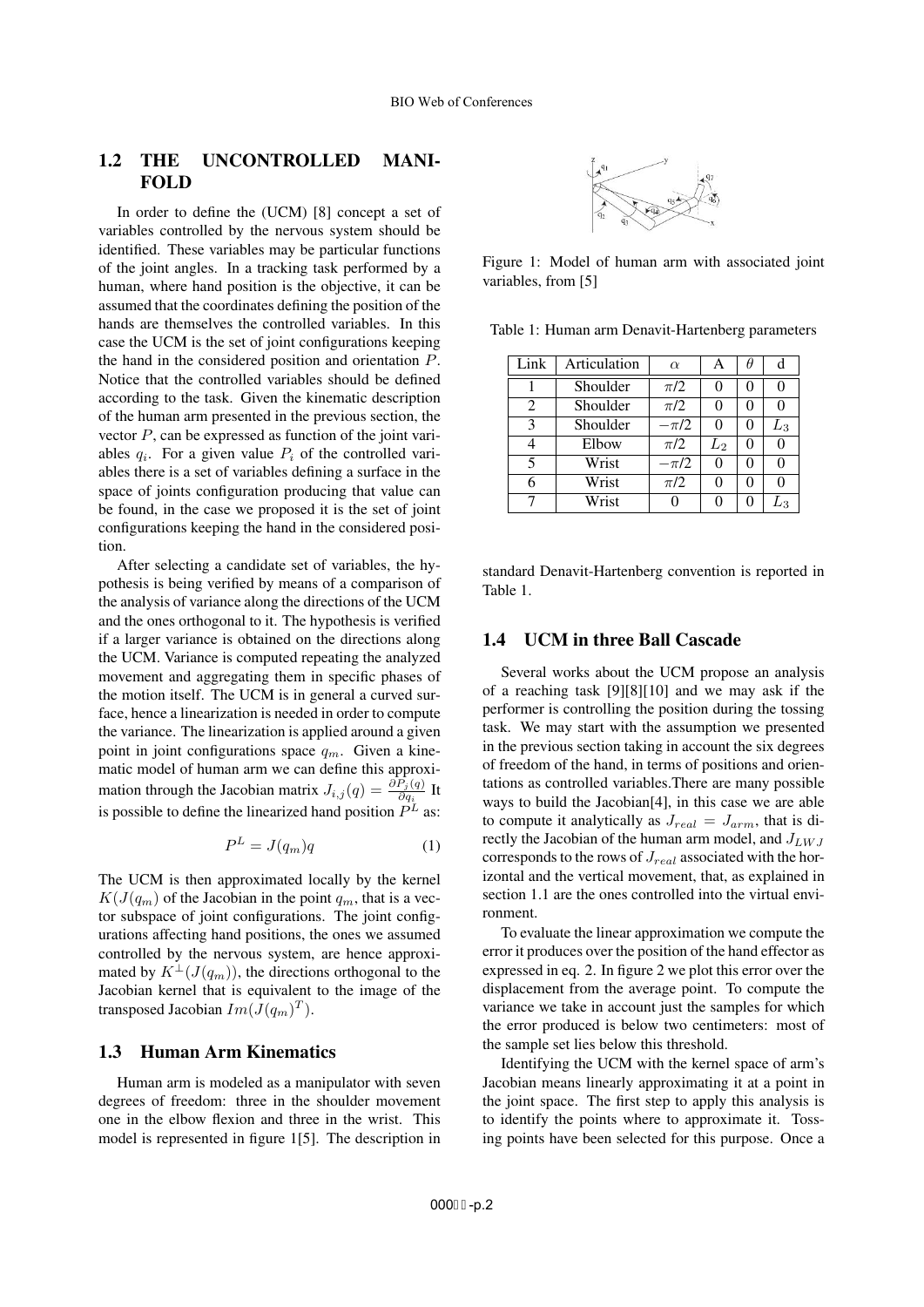### 1.2 THE UNCONTROLLED MANI-FOLD

In order to define the (UCM) [8] concept a set of variables controlled by the nervous system should be identified. These variables may be particular functions of the joint angles. In a tracking task performed by a human, where hand position is the objective, it can be assumed that the coordinates defining the position of the hands are themselves the controlled variables. In this case the UCM is the set of joint configurations keeping the hand in the considered position and orientation P. Notice that the controlled variables should be defined according to the task. Given the kinematic description of the human arm presented in the previous section, the vector  $P$ , can be expressed as function of the joint variables  $q_i$ . For a given value  $P_i$  of the controlled variables there is a set of variables defining a surface in the space of joints configuration producing that value can be found, in the case we proposed it is the set of joint configurations keeping the hand in the considered position.

After selecting a candidate set of variables, the hypothesis is being verified by means of a comparison of the analysis of variance along the directions of the UCM and the ones orthogonal to it. The hypothesis is verified if a larger variance is obtained on the directions along the UCM. Variance is computed repeating the analyzed movement and aggregating them in specific phases of the motion itself. The UCM is in general a curved surface, hence a linearization is needed in order to compute the variance. The linearization is applied around a given point in joint configurations space  $q_m$ . Given a kinematic model of human arm we can define this approximation through the Jacobian matrix  $J_{i,j}(q) = \frac{\partial P_j(q)}{\partial q_i}$  It is possible to define the linearized hand position  $P^L$  as:

$$
P^L = J(q_m)q \tag{1}
$$

The UCM is then approximated locally by the kernel  $K(J(q_m)$  of the Jacobian in the point  $q_m$ , that is a vector subspace of joint configurations. The joint configurations affecting hand positions, the ones we assumed controlled by the nervous system, are hence approximated by  $K^{\perp}(J(q_m))$ , the directions orthogonal to the Jacobian kernel that is equivalent to the image of the transposed Jacobian  $Im(J(q_m)^T)$ .

### 1.3 Human Arm Kinematics

Human arm is modeled as a manipulator with seven degrees of freedom: three in the shoulder movement one in the elbow flexion and three in the wrist. This model is represented in figure 1[5]. The description in



Figure 1: Model of human arm with associated joint variables, from [5]

Table 1: Human arm Denavit-Hartenberg parameters

| Link | Articulation | $\alpha$ | А                   |   | d       |
|------|--------------|----------|---------------------|---|---------|
|      | Shoulder     | $\pi/2$  | 0                   | 0 | 0       |
| 2    | Shoulder     | $\pi/2$  | 0                   | 0 | 0       |
| 3    | Shoulder     | $-\pi/2$ | 0                   | 0 | $L_{3}$ |
| 4    | Elbow        | $\pi/2$  | $\scriptstyle{L_2}$ | 0 | 0       |
| 5    | Wrist        | $-\pi/2$ | $_{0}$              | 0 | 0       |
| 6    | Wrist        | $\pi/2$  | 0                   | 0 | 0       |
|      | Wrist        |          |                     |   | L3      |

standard Denavit-Hartenberg convention is reported in Table 1.

#### 1.4 UCM in three Ball Cascade

Several works about the UCM propose an analysis of a reaching task [9][8][10] and we may ask if the performer is controlling the position during the tossing task. We may start with the assumption we presented in the previous section taking in account the six degrees of freedom of the hand, in terms of positions and orientations as controlled variables.There are many possible ways to build the Jacobian[4], in this case we are able to compute it analytically as  $J_{real} = J_{arm}$ , that is directly the Jacobian of the human arm model, and  $J_{LWJ}$ corresponds to the rows of  $J_{real}$  associated with the horizontal and the vertical movement, that, as explained in section 1.1 are the ones controlled into the virtual environment.

To evaluate the linear approximation we compute the error it produces over the position of the hand effector as expressed in eq. 2. In figure 2 we plot this error over the displacement from the average point. To compute the variance we take in account just the samples for which the error produced is below two centimeters: most of the sample set lies below this threshold.

Identifying the UCM with the kernel space of arm's Jacobian means linearly approximating it at a point in the joint space. The first step to apply this analysis is to identify the points where to approximate it. Tossing points have been selected for this purpose. Once a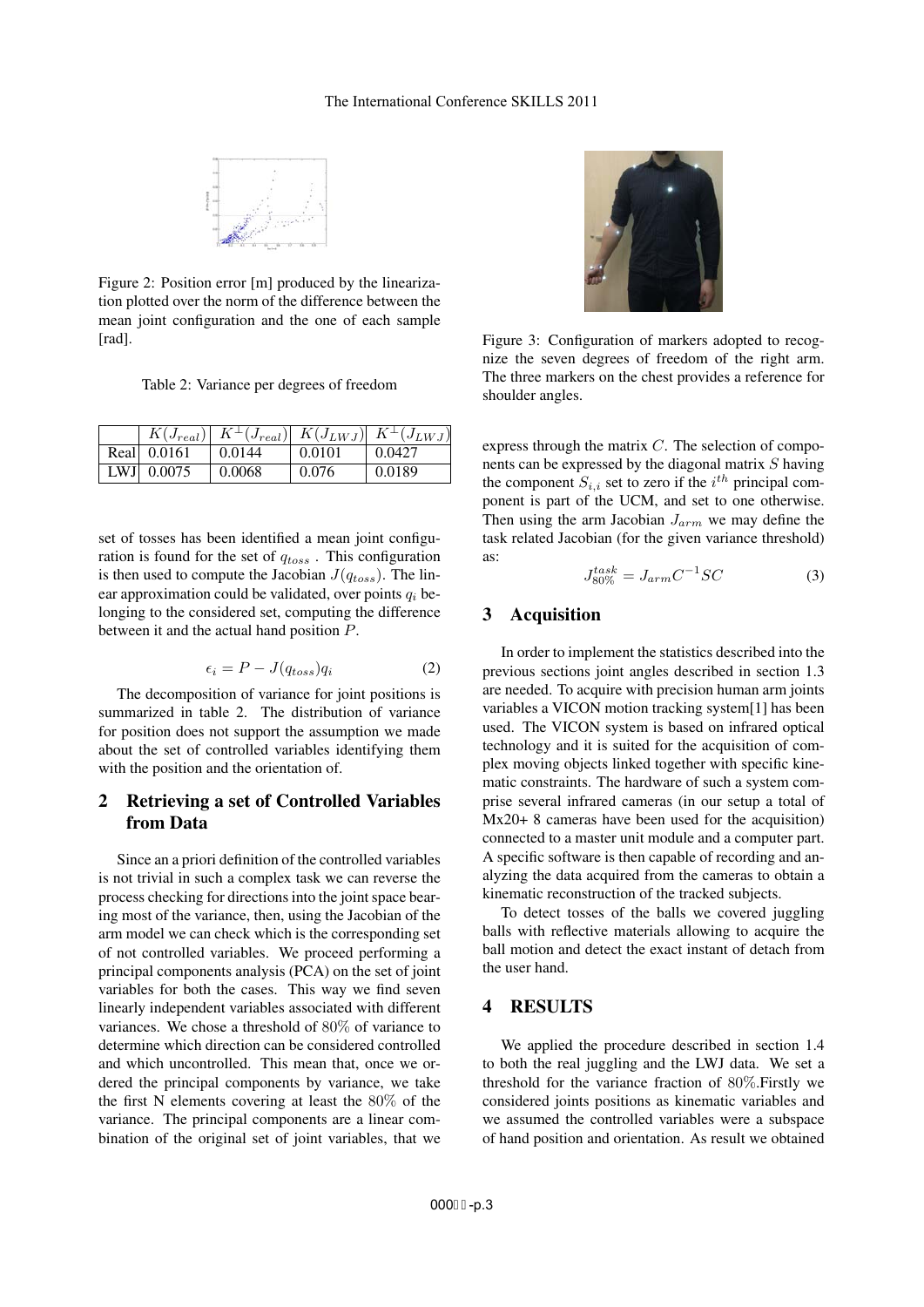

Figure 2: Position error [m] produced by the linearization plotted over the norm of the difference between the mean joint configuration and the one of each sample [rad].

Table 2: Variance per degrees of freedom

| $K(J_{real})$ |        |        | $K^{\perp}(J_{real})$ $K(J_{LWJ})$ $K^{\perp}(J_{LWJ})$ |
|---------------|--------|--------|---------------------------------------------------------|
| Real 0.0161   | 0.0144 | 0.0101 | 0.0427                                                  |
| LWJ $0.0075$  | 0.0068 | 0.076  | 0.0189                                                  |

set of tosses has been identified a mean joint configuration is found for the set of  $q_{toss}$ . This configuration is then used to compute the Jacobian  $J(q_{toss})$ . The linear approximation could be validated, over points  $q_i$  belonging to the considered set, computing the difference between it and the actual hand position P.

$$
\epsilon_i = P - J(q_{toss})q_i \tag{2}
$$

The decomposition of variance for joint positions is summarized in table 2. The distribution of variance for position does not support the assumption we made about the set of controlled variables identifying them with the position and the orientation of.

### 2 Retrieving a set of Controlled Variables from Data

Since an a priori definition of the controlled variables is not trivial in such a complex task we can reverse the process checking for directions into the joint space bearing most of the variance, then, using the Jacobian of the arm model we can check which is the corresponding set of not controlled variables. We proceed performing a principal components analysis (PCA) on the set of joint variables for both the cases. This way we find seven linearly independent variables associated with different variances. We chose a threshold of 80% of variance to determine which direction can be considered controlled and which uncontrolled. This mean that, once we ordered the principal components by variance, we take the first N elements covering at least the 80% of the variance. The principal components are a linear combination of the original set of joint variables, that we



Figure 3: Configuration of markers adopted to recognize the seven degrees of freedom of the right arm. The three markers on the chest provides a reference for shoulder angles.

express through the matrix C. The selection of components can be expressed by the diagonal matrix S having the component  $S_{i,i}$  set to zero if the  $i^{th}$  principal component is part of the UCM, and set to one otherwise. Then using the arm Jacobian  $J_{arm}$  we may define the task related Jacobian (for the given variance threshold) as:

$$
J_{80\%}^{task} = J_{arm}C^{-1}SC
$$
 (3)

#### 3 Acquisition

In order to implement the statistics described into the previous sections joint angles described in section 1.3 are needed. To acquire with precision human arm joints variables a VICON motion tracking system[1] has been used. The VICON system is based on infrared optical technology and it is suited for the acquisition of complex moving objects linked together with specific kinematic constraints. The hardware of such a system comprise several infrared cameras (in our setup a total of Mx20+ 8 cameras have been used for the acquisition) connected to a master unit module and a computer part. A specific software is then capable of recording and analyzing the data acquired from the cameras to obtain a kinematic reconstruction of the tracked subjects.

To detect tosses of the balls we covered juggling balls with reflective materials allowing to acquire the ball motion and detect the exact instant of detach from the user hand.

### 4 RESULTS

We applied the procedure described in section 1.4 to both the real juggling and the LWJ data. We set a threshold for the variance fraction of 80%.Firstly we considered joints positions as kinematic variables and we assumed the controlled variables were a subspace of hand position and orientation. As result we obtained